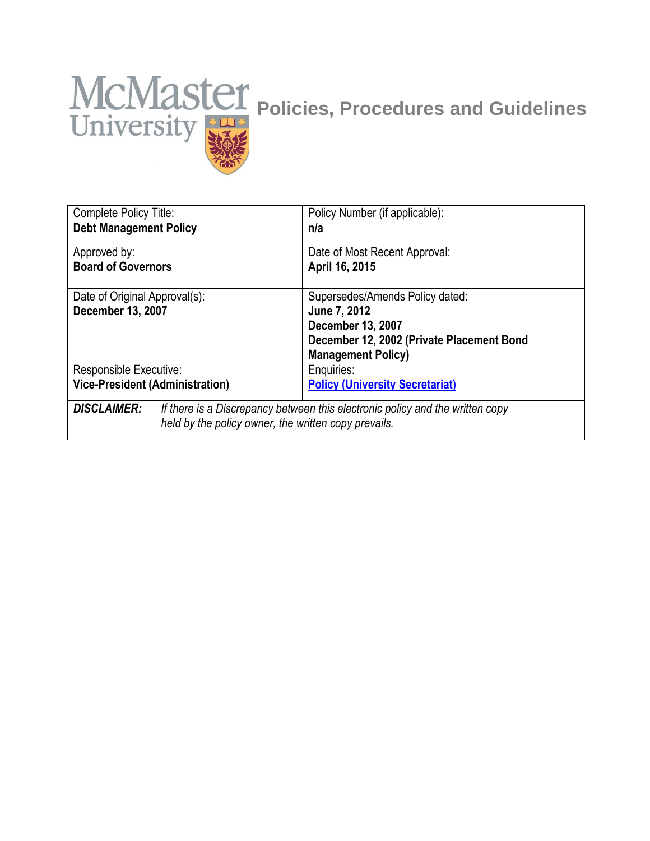# **MCMaster Policies, Procedures and Guidelines**

| Complete Policy Title:                                                                                                                                      | Policy Number (if applicable):                  |
|-------------------------------------------------------------------------------------------------------------------------------------------------------------|-------------------------------------------------|
| <b>Debt Management Policy</b>                                                                                                                               | n/a                                             |
| Approved by:<br><b>Board of Governors</b>                                                                                                                   | Date of Most Recent Approval:<br>April 16, 2015 |
| Date of Original Approval(s):                                                                                                                               | Supersedes/Amends Policy dated:                 |
| December 13, 2007                                                                                                                                           | June 7, 2012                                    |
|                                                                                                                                                             | December 13, 2007                               |
|                                                                                                                                                             | December 12, 2002 (Private Placement Bond       |
|                                                                                                                                                             | <b>Management Policy)</b>                       |
| Responsible Executive:                                                                                                                                      | Enquiries:                                      |
| <b>Vice-President (Administration)</b>                                                                                                                      | <b>Policy (University Secretariat)</b>          |
| <b>DISCLAIMER:</b><br>If there is a Discrepancy between this electronic policy and the written copy<br>held by the policy owner, the written copy prevails. |                                                 |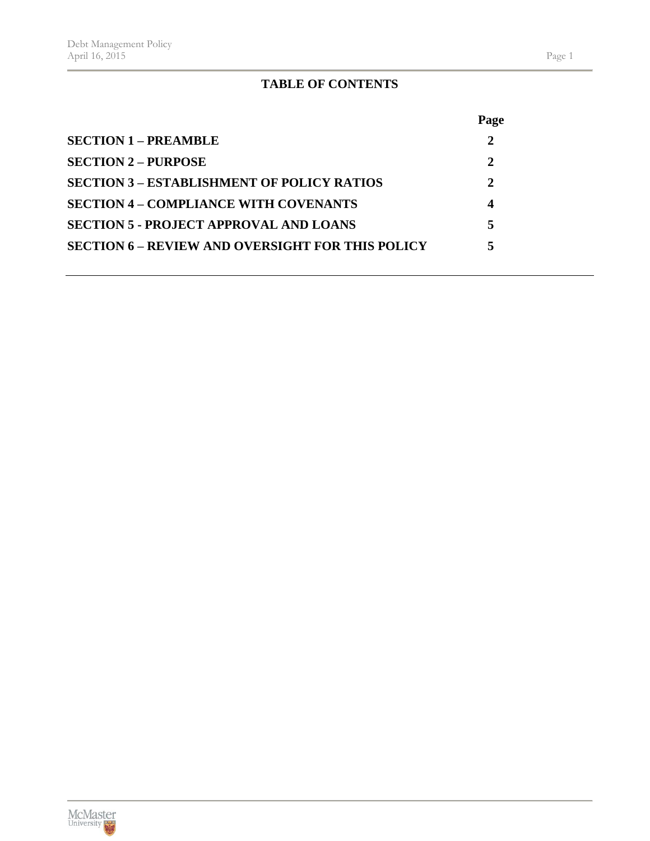# **TABLE OF CONTENTS**

|                                                         | Page         |
|---------------------------------------------------------|--------------|
| $SECTION 1 - PREAMBLE$                                  | $\mathbf{2}$ |
| <b>SECTION 2 – PURPOSE</b>                              | 2            |
| <b>SECTION 3 – ESTABLISHMENT OF POLICY RATIOS</b>       | 2            |
| <b>SECTION 4 – COMPLIANCE WITH COVENANTS</b>            | 4            |
| <b>SECTION 5 - PROJECT APPROVAL AND LOANS</b>           | 5            |
| <b>SECTION 6 – REVIEW AND OVERSIGHT FOR THIS POLICY</b> | 5            |
|                                                         |              |

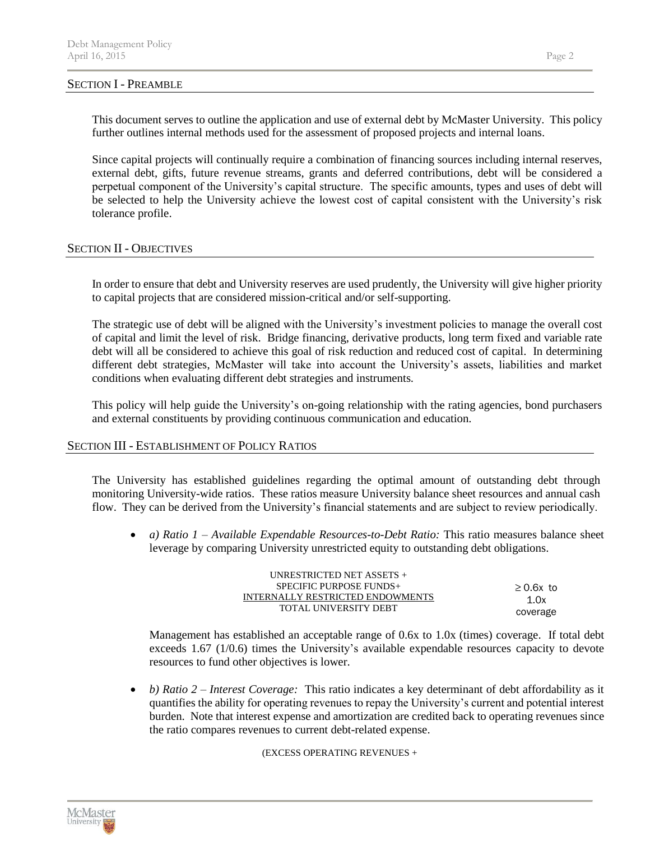### SECTION I - PREAMBLE

This document serves to outline the application and use of external debt by McMaster University. This policy further outlines internal methods used for the assessment of proposed projects and internal loans.

Since capital projects will continually require a combination of financing sources including internal reserves, external debt, gifts, future revenue streams, grants and deferred contributions, debt will be considered a perpetual component of the University's capital structure. The specific amounts, types and uses of debt will be selected to help the University achieve the lowest cost of capital consistent with the University's risk tolerance profile.

# SECTION II - OBJECTIVES

In order to ensure that debt and University reserves are used prudently, the University will give higher priority to capital projects that are considered mission-critical and/or self-supporting.

The strategic use of debt will be aligned with the University's investment policies to manage the overall cost of capital and limit the level of risk. Bridge financing, derivative products, long term fixed and variable rate debt will all be considered to achieve this goal of risk reduction and reduced cost of capital. In determining different debt strategies, McMaster will take into account the University's assets, liabilities and market conditions when evaluating different debt strategies and instruments.

This policy will help guide the University's on-going relationship with the rating agencies, bond purchasers and external constituents by providing continuous communication and education.

### SECTION III - ESTABLISHMENT OF POLICY RATIOS

The University has established guidelines regarding the optimal amount of outstanding debt through monitoring University-wide ratios. These ratios measure University balance sheet resources and annual cash flow. They can be derived from the University's financial statements and are subject to review periodically.

• *a) Ratio 1 – Available Expendable Resources-to-Debt Ratio:* This ratio measures balance sheet leverage by comparing University unrestricted equity to outstanding debt obligations.

| UNRESTRICTED NET ASSETS +        |                |  |
|----------------------------------|----------------|--|
| $SPECIFIC$ PURPOSE FUNDS+        | $\geq$ 0.6x to |  |
| INTERNALLY RESTRICTED ENDOWMENTS | 1 Ox           |  |
| TOTAL UNIVERSITY DEBT            | coverage       |  |

Management has established an acceptable range of 0.6x to 1.0x (times) coverage. If total debt exceeds 1.67 (1/0.6) times the University's available expendable resources capacity to devote resources to fund other objectives is lower.

• *b) Ratio 2 – Interest Coverage:* This ratio indicates a key determinant of debt affordability as it quantifies the ability for operating revenues to repay the University's current and potential interest burden. Note that interest expense and amortization are credited back to operating revenues since the ratio compares revenues to current debt-related expense.

(EXCESS OPERATING REVENUES +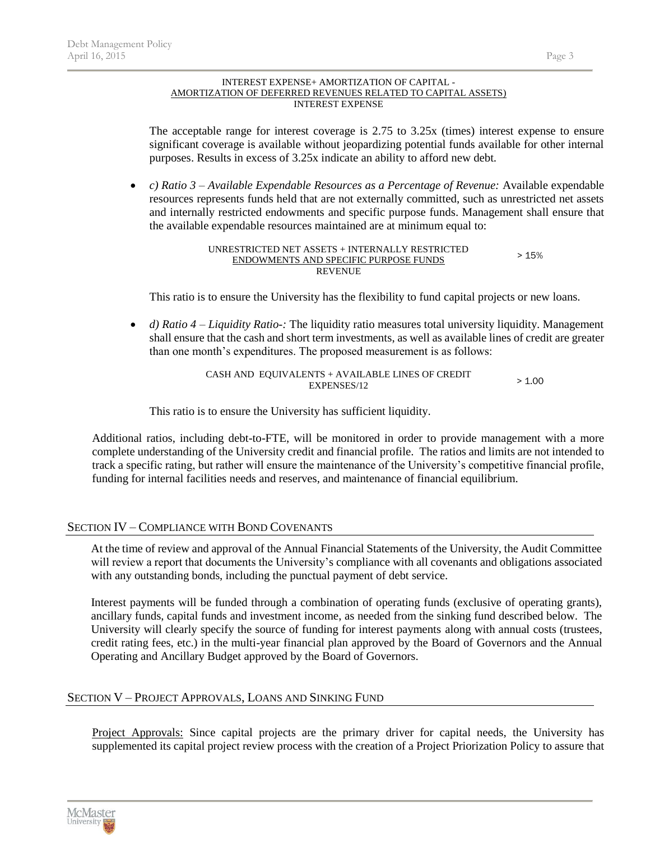### INTEREST EXPENSE+ AMORTIZATION OF CAPITAL - AMORTIZATION OF DEFERRED REVENUES RELATED TO CAPITAL ASSETS) INTEREST EXPENSE

The acceptable range for interest coverage is 2.75 to 3.25x (times) interest expense to ensure significant coverage is available without jeopardizing potential funds available for other internal purposes. Results in excess of 3.25x indicate an ability to afford new debt.

• *c) Ratio 3 – Available Expendable Resources as a Percentage of Revenue:* Available expendable resources represents funds held that are not externally committed, such as unrestricted net assets and internally restricted endowments and specific purpose funds. Management shall ensure that the available expendable resources maintained are at minimum equal to:

### UNRESTRICTED NET ASSETS + INTERNALLY RESTRICTED ENDOWMENTS AND SPECIFIC PURPOSE FUNDS **REVENUE** > 15%

This ratio is to ensure the University has the flexibility to fund capital projects or new loans.

• *d) Ratio 4 – Liquidity Ratio-:* The liquidity ratio measures total university liquidity. Management shall ensure that the cash and short term investments, as well as available lines of credit are greater than one month's expenditures. The proposed measurement is as follows:

> CASH AND EQUIVALENTS + AVAILABLE LINES OF CREDIT EXPENSES/12  $> 1.00$

This ratio is to ensure the University has sufficient liquidity.

Additional ratios, including debt-to-FTE, will be monitored in order to provide management with a more complete understanding of the University credit and financial profile. The ratios and limits are not intended to track a specific rating, but rather will ensure the maintenance of the University's competitive financial profile, funding for internal facilities needs and reserves, and maintenance of financial equilibrium.

# SECTION IV – COMPLIANCE WITH BOND COVENANTS

At the time of review and approval of the Annual Financial Statements of the University, the Audit Committee will review a report that documents the University's compliance with all covenants and obligations associated with any outstanding bonds, including the punctual payment of debt service.

Interest payments will be funded through a combination of operating funds (exclusive of operating grants), ancillary funds, capital funds and investment income, as needed from the sinking fund described below. The University will clearly specify the source of funding for interest payments along with annual costs (trustees, credit rating fees, etc.) in the multi-year financial plan approved by the Board of Governors and the Annual Operating and Ancillary Budget approved by the Board of Governors.

# SECTION V – PROJECT APPROVALS, LOANS AND SINKING FUND

Project Approvals: Since capital projects are the primary driver for capital needs, the University has supplemented its capital project review process with the creation of a Project Priorization Policy to assure that

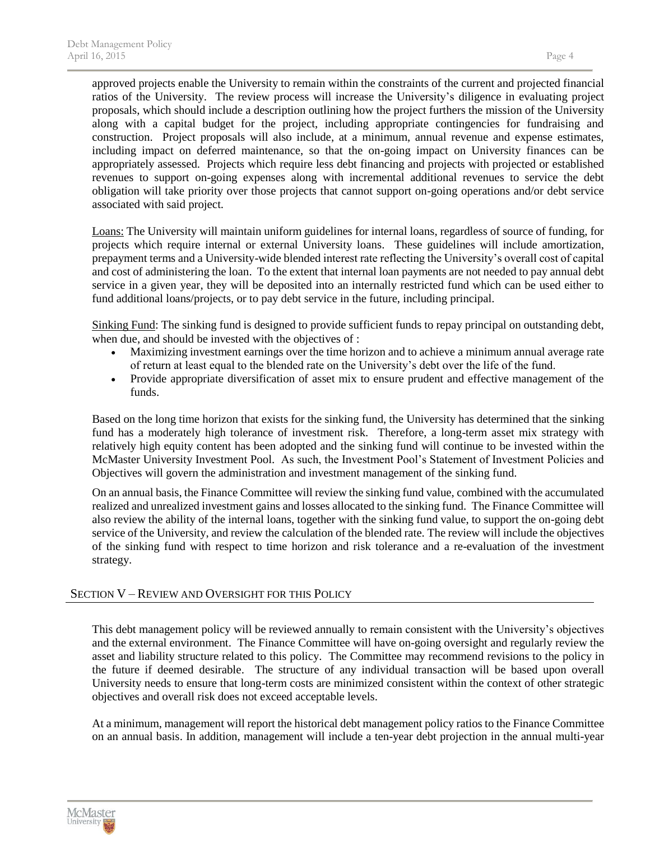approved projects enable the University to remain within the constraints of the current and projected financial ratios of the University. The review process will increase the University's diligence in evaluating project proposals, which should include a description outlining how the project furthers the mission of the University along with a capital budget for the project, including appropriate contingencies for fundraising and construction. Project proposals will also include, at a minimum, annual revenue and expense estimates, including impact on deferred maintenance, so that the on-going impact on University finances can be appropriately assessed. Projects which require less debt financing and projects with projected or established revenues to support on-going expenses along with incremental additional revenues to service the debt obligation will take priority over those projects that cannot support on-going operations and/or debt service associated with said project.

Loans: The University will maintain uniform guidelines for internal loans, regardless of source of funding, for projects which require internal or external University loans. These guidelines will include amortization, prepayment terms and a University-wide blended interest rate reflecting the University's overall cost of capital and cost of administering the loan. To the extent that internal loan payments are not needed to pay annual debt service in a given year, they will be deposited into an internally restricted fund which can be used either to fund additional loans/projects, or to pay debt service in the future, including principal.

Sinking Fund: The sinking fund is designed to provide sufficient funds to repay principal on outstanding debt, when due, and should be invested with the objectives of :

- Maximizing investment earnings over the time horizon and to achieve a minimum annual average rate of return at least equal to the blended rate on the University's debt over the life of the fund.
- Provide appropriate diversification of asset mix to ensure prudent and effective management of the funds.

Based on the long time horizon that exists for the sinking fund, the University has determined that the sinking fund has a moderately high tolerance of investment risk. Therefore, a long-term asset mix strategy with relatively high equity content has been adopted and the sinking fund will continue to be invested within the McMaster University Investment Pool. As such, the Investment Pool's Statement of Investment Policies and Objectives will govern the administration and investment management of the sinking fund.

On an annual basis, the Finance Committee will review the sinking fund value, combined with the accumulated realized and unrealized investment gains and losses allocated to the sinking fund. The Finance Committee will also review the ability of the internal loans, together with the sinking fund value, to support the on-going debt service of the University, and review the calculation of the blended rate. The review will include the objectives of the sinking fund with respect to time horizon and risk tolerance and a re-evaluation of the investment strategy.

# SECTION V – REVIEW AND OVERSIGHT FOR THIS POLICY

This debt management policy will be reviewed annually to remain consistent with the University's objectives and the external environment. The Finance Committee will have on-going oversight and regularly review the asset and liability structure related to this policy. The Committee may recommend revisions to the policy in the future if deemed desirable. The structure of any individual transaction will be based upon overall University needs to ensure that long-term costs are minimized consistent within the context of other strategic objectives and overall risk does not exceed acceptable levels.

At a minimum, management will report the historical debt management policy ratios to the Finance Committee on an annual basis. In addition, management will include a ten-year debt projection in the annual multi-year